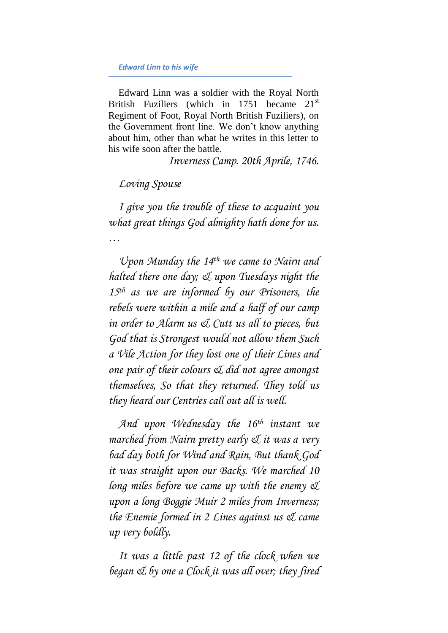Edward Linn was a soldier with the Royal North British Fuziliers (which in 1751 became  $21<sup>st</sup>$ Regiment of Foot, Royal North British Fuziliers), on the Government front line. We don't know anything about him, other than what he writes in this letter to his wife soon after the battle.

*Inverness Camp. 20th Aprile, 1746.*

## *Loving Spouse*

*I give you the trouble of these to acquaint you what great things God almighty hath done for us. …*

*Upon Munday the 14th we came to Nairn and halted there one day; & upon Tuesdays night the 15th as we are informed by our Prisoners, the rebels were within a mile and a half of our camp in order to Alarm us & Cutt us all to pieces, but God that is Strongest would not allow them Such a Vile Action for they lost one of their Lines and one pair of their colours & did not agree amongst themselves, So that they returned. They told us they heard our Centries call out all is well.*

*And upon Wednesday the 16th instant we marched from Nairn pretty early & it was a very bad day both for Wind and Rain, But thank God it was straight upon our Backs. We marched 10 long miles before we came up with the enemy & upon a long Boggie Muir 2 miles from Inverness; the Enemie formed in 2 Lines against us & came up very boldly.*

*It was a little past 12 of the clock when we began & by one a Clock it was all over; they fired*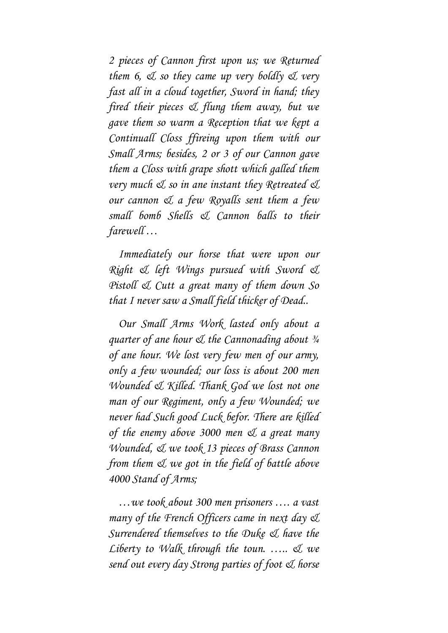*2 pieces of Cannon first upon us; we Returned them 6, & so they came up very boldly & very fast all in a cloud together, Sword in hand; they fired their pieces & flung them away, but we gave them so warm a Reception that we kept a Continuall Closs ffireing upon them with our Small Arms; besides, 2 or 3 of our Cannon gave them a Closs with grape shott which galled them very much & so in ane instant they Retreated & our cannon & a few Royalls sent them a few small bomb Shells & Cannon balls to their farewell …*

*Immediately our horse that were upon our Right & left Wings pursued with Sword & Pistoll & Cutt a great many of them down So that I never saw a Small field thicker of Dead..*

*Our Small Arms Work lasted only about a quarter of ane hour & the Cannonading about ¾ of ane hour. We lost very few men of our army, only a few wounded; our loss is about 200 men Wounded & Killed. Thank God we lost not one man of our Regiment, only a few Wounded; we never had Such good Luck befor. There are killed of the enemy above 3000 men & a great many Wounded, & we took 13 pieces of Brass Cannon from them & we got in the field of battle above 4000 Stand of Arms;*

*…we took about 300 men prisoners …. a vast many of the French Officers came in next day & Surrendered themselves to the Duke & have the Liberty to Walk through the toun. ….. & we send out every day Strong parties of foot & horse*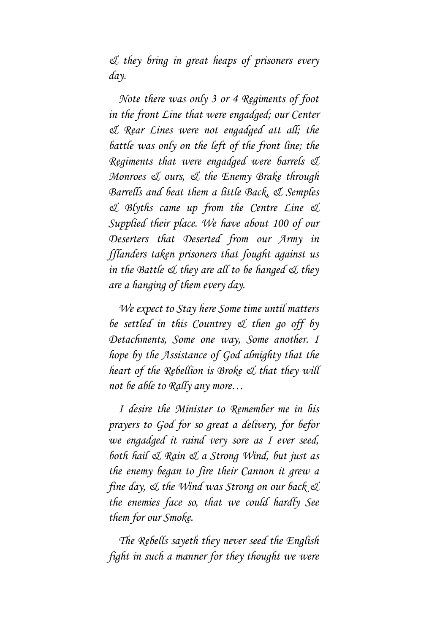*& they bring in great heaps of prisoners every day.*

*Note there was only 3 or 4 Regiments of foot in the front Line that were engadged; our Center & Rear Lines were not engadged att all; the battle was only on the left of the front line; the Regiments that were engadged were barrels & Monroes & ours, & the Enemy Brake through Barrells and beat them a little Back, & Semples & Blyths came up from the Centre Line & Supplied their place. We have about 100 of our Deserters that Deserted from our Army in fflanders taken prisoners that fought against us in the Battle & they are all to be hanged & they are a hanging of them every day.*

*We expect to Stay here Some time until matters be settled in this Countrey & then go off by Detachments, Some one way, Some another. I hope by the Assistance of God almighty that the heart of the Rebellion is Broke & that they will not be able to Rally any more…*

*I desire the Minister to Remember me in his prayers to God for so great a delivery, for befor we engadged it raind very sore as I ever seed, both hail & Rain & a Strong Wind, but just as the enemy began to fire their Cannon it grew a fine day, & the Wind was Strong on our back & the enemies face so, that we could hardly See them for our Smoke.*

*The Rebells sayeth they never seed the English fight in such a manner for they thought we were*